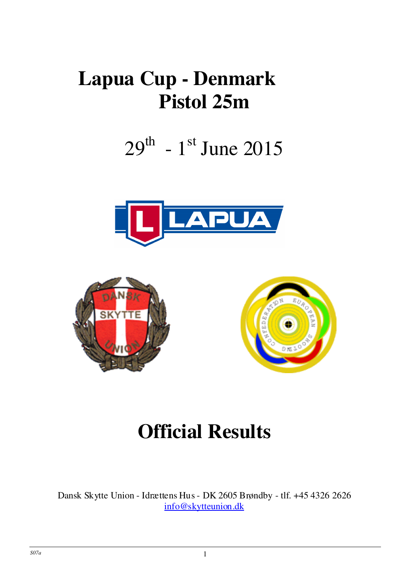### **Lapua Cup - Denmark Pistol 25m**

# $29^{th}$  - 1st June 2015







## **Official Results**

Dansk Skytte Union - Idrættens Hus - DK 2605 Brøndby - tlf. +45 4326 2626 info@skytteunion.dk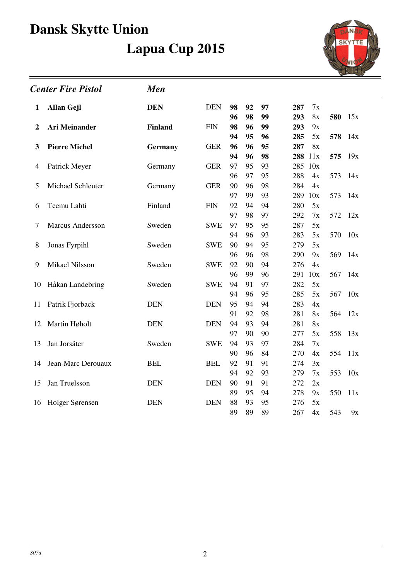

| <b>Center Fire Pistol</b> |                         | <b>Men</b>     |            |          |          |          |            |          |         |     |  |
|---------------------------|-------------------------|----------------|------------|----------|----------|----------|------------|----------|---------|-----|--|
| 1                         | <b>Allan Gejl</b>       | <b>DEN</b>     | <b>DEN</b> | 98       | 92       | 97       | 287        | 7x       |         |     |  |
|                           |                         |                |            | 96       | 98       | 99       | 293        | 8x       | 580     | 15x |  |
| $\boldsymbol{2}$          | <b>Ari Meinander</b>    | Finland        | <b>FIN</b> | 98       | 96       | 99       | 293        | 9x       |         |     |  |
|                           |                         |                |            | 94       | 95       | 96       | 285        | 5x       | 578     | 14x |  |
| 3                         | <b>Pierre Michel</b>    | <b>Germany</b> | <b>GER</b> | 96       | 96       | 95       | 287        | 8x       |         |     |  |
|                           |                         |                |            | 94       | 96       | 98       | 288        | 11x      | 575 19x |     |  |
| 4                         | Patrick Meyer           | Germany        | <b>GER</b> | 97       | 95       | 93       | 285        | 10x      |         |     |  |
|                           |                         |                |            | 96       | 97       | 95       | 288        | 4x       | 573     | 14x |  |
| 5                         | Michael Schleuter       | Germany        | <b>GER</b> | 90       | 96       | 98       | 284        | 4x       |         |     |  |
|                           |                         |                |            | 97       | 99       | 93       | 289        | 10x      | 573     | 14x |  |
| 6                         | Teemu Lahti             | Finland        | <b>FIN</b> | 92       | 94       | 94       | 280        | 5x       |         |     |  |
|                           |                         |                |            | 97       | 98       | 97       | 292        | 7x       | 572     | 12x |  |
| 7                         | <b>Marcus Andersson</b> | Sweden         | <b>SWE</b> | 97       | 95       | 95       | 287        | 5x       |         |     |  |
|                           |                         |                |            | 94       | 96<br>94 | 93       | 283<br>279 | 5x       | 570     | 10x |  |
| 8                         | Jonas Fyrpihl           | Sweden         | <b>SWE</b> | 90<br>96 | 96       | 95<br>98 | 290        | 5x<br>9x | 569     | 14x |  |
| 9                         | <b>Mikael Nilsson</b>   | Sweden         | <b>SWE</b> | 92       | 90       | 94       | 276        | 4x       |         |     |  |
|                           |                         |                |            | 96       | 99       | 96       | 291        | 10x      | 567     | 14x |  |
| 10                        | Håkan Landebring        | Sweden         | <b>SWE</b> | 94       | 91       | 97       | 282        | 5x       |         |     |  |
|                           |                         |                |            | 94       | 96       | 95       | 285        | 5x       | 567     | 10x |  |
| 11                        | Patrik Fjorback         | <b>DEN</b>     | <b>DEN</b> | 95       | 94       | 94       | 283        | 4x       |         |     |  |
|                           |                         |                |            | 91       | 92       | 98       | 281        | 8x       | 564     | 12x |  |
| 12                        | Martin Høholt           | <b>DEN</b>     | <b>DEN</b> | 94       | 93       | 94       | 281        | 8x       |         |     |  |
|                           |                         |                |            | 97       | 90       | 90       | 277        | 5x       | 558     | 13x |  |
| 13                        | Jan Jorsäter            | Sweden         | <b>SWE</b> | 94       | 93       | 97       | 284        | 7x       |         |     |  |
|                           |                         |                |            | 90       | 96       | 84       | 270        | 4x       | 554     | 11x |  |
| 14                        | Jean-Marc Derouaux      | <b>BEL</b>     | <b>BEL</b> | 92       | 91       | 91       | 274        | 3x       |         |     |  |
|                           |                         |                |            | 94       | 92       | 93       | 279        | 7x       | 553     | 10x |  |
| 15                        | Jan Truelsson           | <b>DEN</b>     | <b>DEN</b> | 90       | 91       | 91       | 272        | 2x       |         |     |  |
|                           |                         |                |            | 89       | 95       | 94       | 278        | 9x       | 550     | 11x |  |
| 16                        | Holger Sørensen         | <b>DEN</b>     | <b>DEN</b> | 88       | 93       | 95       | 276        | 5x       |         |     |  |
|                           |                         |                |            | 89       | 89       | 89       | 267        | 4x       | 543     | 9x  |  |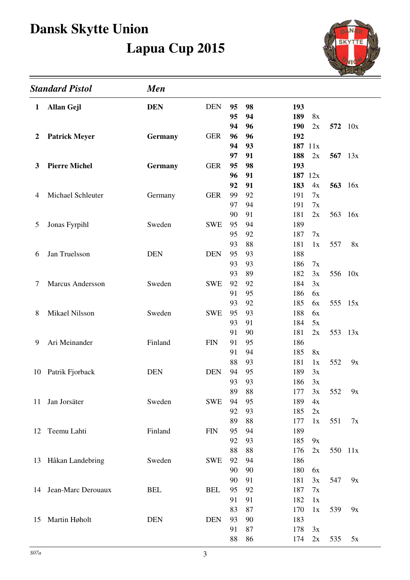

| <b>Standard Pistol</b> |                       | <b>Men</b>     |            |          |          |            |          |                |     |  |
|------------------------|-----------------------|----------------|------------|----------|----------|------------|----------|----------------|-----|--|
| 1                      | <b>Allan Gejl</b>     | <b>DEN</b>     | <b>DEN</b> | 95       | 98       | 193        |          |                |     |  |
|                        |                       |                |            | 95       | 94       | 189        | 8x       |                |     |  |
|                        |                       |                |            | 94       | 96       | <b>190</b> | 2x       | 572 10x        |     |  |
| 2                      | <b>Patrick Meyer</b>  | <b>Germany</b> | <b>GER</b> | 96       | 96       | 192        |          |                |     |  |
|                        |                       |                |            | 94       | 93       |            | 187 11x  |                |     |  |
|                        |                       |                |            | 97       | 91       | 188        | 2x       | 567 13x        |     |  |
| 3                      | <b>Pierre Michel</b>  | <b>Germany</b> | <b>GER</b> | 95       | 98       | 193        |          |                |     |  |
|                        |                       |                |            | 96       | 91       |            | 187 12x  |                |     |  |
|                        |                       |                |            | 92       | 91       | 183        | 4x       | <b>563</b> 16x |     |  |
| 4                      | Michael Schleuter     | Germany        | <b>GER</b> | 99       | 92       | 191        | 7x       |                |     |  |
|                        |                       |                |            | 97       | 94       | 191        | 7x       |                |     |  |
|                        |                       |                |            | 90       | 91       | 181        | 2x       | 563 16x        |     |  |
| 5                      | Jonas Fyrpihl         | Sweden         | <b>SWE</b> | 95       | 94       | 189        |          |                |     |  |
|                        |                       |                |            | 95<br>93 | 92<br>88 | 187<br>181 | 7x<br>1x | 557            |     |  |
|                        | Jan Truelsson         | <b>DEN</b>     | <b>DEN</b> | 95       | 93       | 188        |          |                | 8x  |  |
| 6                      |                       |                |            | 93       | 93       | 186        | 7x       |                |     |  |
|                        |                       |                |            | 93       | 89       | 182        | 3x       | 556 10x        |     |  |
| 7                      | Marcus Andersson      | Sweden         | <b>SWE</b> | 92       | 92       | 184        | 3x       |                |     |  |
|                        |                       |                |            | 91       | 95       | 186        | 6x       |                |     |  |
|                        |                       |                |            | 93       | 92       | 185        | 6x       | 555 15x        |     |  |
| 8                      | <b>Mikael Nilsson</b> | Sweden         | <b>SWE</b> | 95       | 93       | 188        | 6x       |                |     |  |
|                        |                       |                |            | 93       | 91       | 184        | 5x       |                |     |  |
|                        |                       |                |            | 91       | 90       | 181        | 2x       | 553            | 13x |  |
| 9                      | Ari Meinander         | Finland        | <b>FIN</b> | 91       | 95       | 186        |          |                |     |  |
|                        |                       |                |            | 91       | 94       | 185        | 8x       |                |     |  |
|                        |                       |                |            | 88       | 93       | 181        | 1x       | 552            | 9x  |  |
| 10                     | Patrik Fjorback       | <b>DEN</b>     | <b>DEN</b> | 94       | 95       | 189        | 3x       |                |     |  |
|                        |                       |                |            | 93       | 93       | 186        | 3x       |                |     |  |
|                        |                       |                |            | 89       | 88       | 177        | 3x       | 552            | 9x  |  |
| 11                     | Jan Jorsäter          | Sweden         | <b>SWE</b> | 94       | 95       | 189        | 4x       |                |     |  |
|                        |                       |                |            | 92       | 93       | 185        | 2x       |                |     |  |
|                        |                       |                |            | 89       | 88       | 177        | 1x       | 551            | 7x  |  |
| 12                     | Teemu Lahti           | Finland        | <b>FIN</b> | 95       | 94       | 189        |          |                |     |  |
|                        |                       |                |            | 92       | 93       | 185        | 9x       |                |     |  |
|                        |                       |                |            | 88       | 88       | 176        | 2x       | 550 11x        |     |  |
|                        | 13 Håkan Landebring   | Sweden         | <b>SWE</b> | 92       | 94       | 186        |          |                |     |  |
|                        |                       |                |            | 90       | 90       | 180        | 6x       |                |     |  |
|                        |                       |                |            | 90       | 91       | 181        | 3x       | 547            | 9x  |  |
|                        | 14 Jean-Marc Derouaux | <b>BEL</b>     | <b>BEL</b> | 95       | 92       | 187        | 7x       |                |     |  |
|                        |                       |                |            | 91       | 91       | 182        | 1x       |                |     |  |
|                        |                       |                |            | 83       | 87       | 170        | 1x       | 539            | 9x  |  |
| 15                     | Martin Høholt         | <b>DEN</b>     | <b>DEN</b> | 93<br>91 | 90<br>87 | 183<br>178 | 3x       |                |     |  |
|                        |                       |                |            | 88       | 86       | 174        | 2x       | 535            | 5x  |  |
|                        |                       |                |            |          |          |            |          |                |     |  |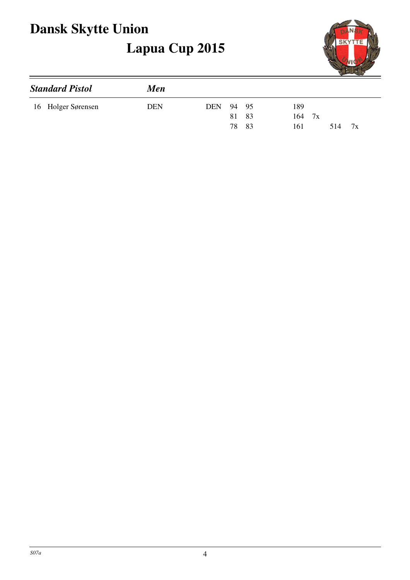

| <b>Standard Pistol</b> | Men        |                               |  |  |  |  |  |  |
|------------------------|------------|-------------------------------|--|--|--|--|--|--|
| 16 Holger Sørensen     | <b>DEN</b> | 189<br><b>DEN</b><br>94 95    |  |  |  |  |  |  |
|                        |            | 81 83<br>164<br>7x            |  |  |  |  |  |  |
|                        |            | -83<br>78<br>514<br>161<br>7x |  |  |  |  |  |  |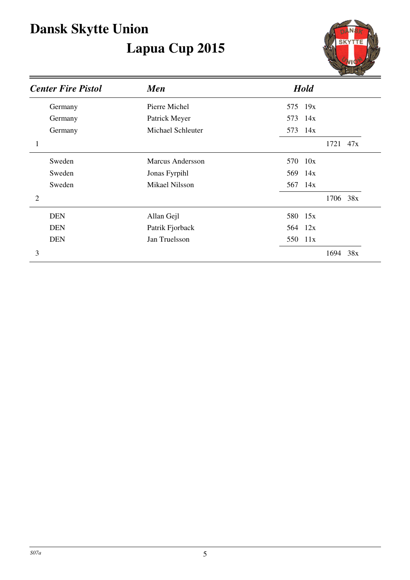

| <b>Center Fire Pistol</b> | <b>Men</b>        | <b>Hold</b> |
|---------------------------|-------------------|-------------|
| Germany                   | Pierre Michel     | 575 19x     |
| Germany                   | Patrick Meyer     | 573 14x     |
| Germany                   | Michael Schleuter | 573 14x     |
| 1                         |                   | 1721 47x    |
| Sweden                    | Marcus Andersson  | 570 10x     |
| Sweden                    | Jonas Fyrpihl     | 569<br>14x  |
| Sweden                    | Mikael Nilsson    | 567 14x     |
| $\overline{2}$            |                   | 1706 38x    |
| <b>DEN</b>                | Allan Gejl        | 580 15x     |
| <b>DEN</b>                | Patrik Fjorback   | 564 12x     |
| <b>DEN</b>                | Jan Truelsson     | 550 11x     |
| 3                         |                   | 1694<br>38x |